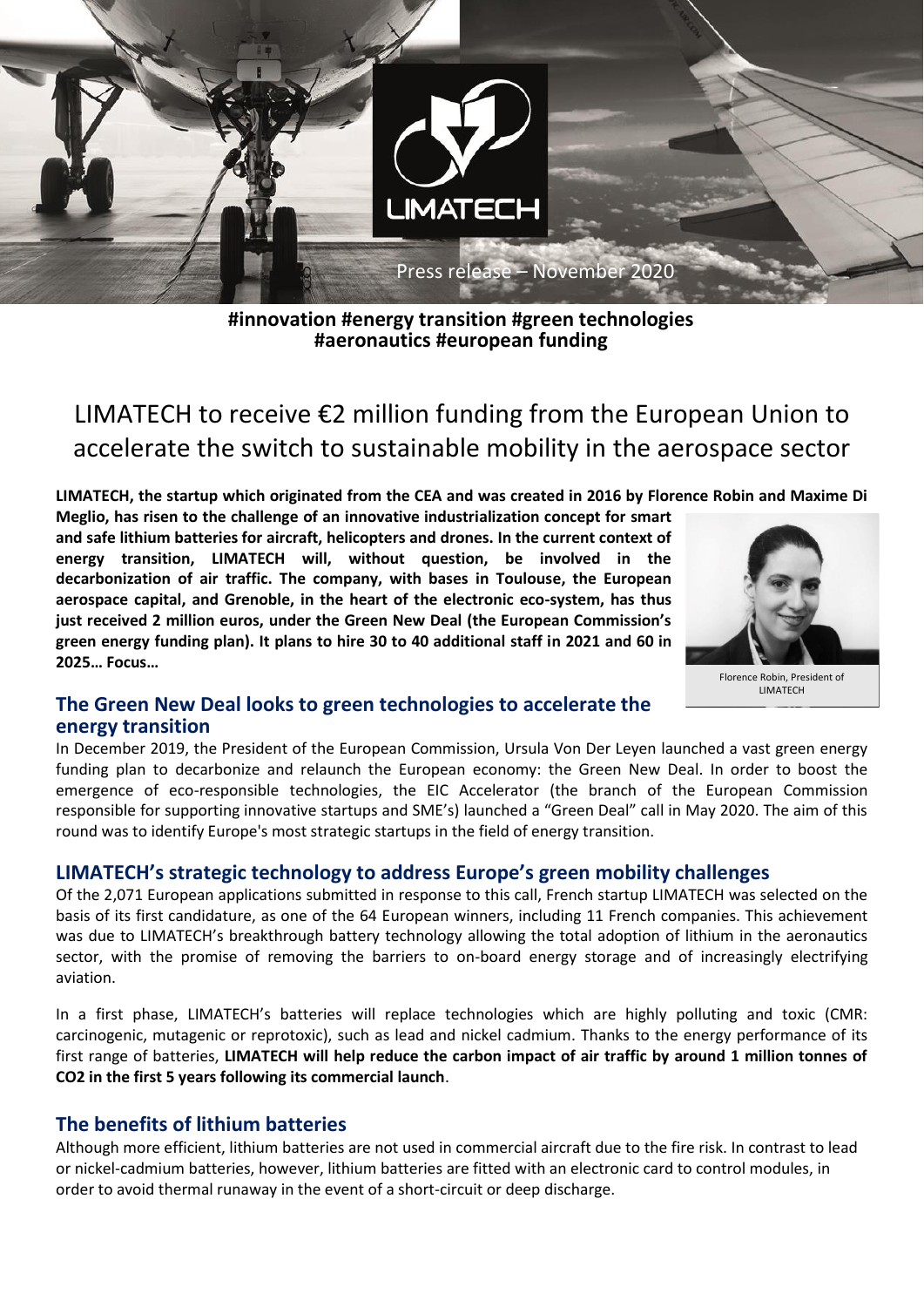

**#innovation #energy transition #green technologies #aeronautics #european funding**

# LIMATECH to receive €2 million funding from the European Union to accelerate the switch to sustainable mobility in the aerospace sector

**LIMATECH, the startup which originated from the CEA and was created in 2016 by Florence Robin and Maxime Di** 

**Meglio, has risen to the challenge of an innovative industrialization concept for smart and safe lithium batteries for aircraft, helicopters and drones. In the current context of energy transition, LIMATECH will, without question, be involved in the decarbonization of air traffic. The company, with bases in Toulouse, the European aerospace capital, and Grenoble, in the heart of the electronic eco-system, has thus just received 2 million euros, under the Green New Deal (the European Commission's green energy funding plan). It plans to hire 30 to 40 additional staff in 2021 and 60 in 2025… Focus…**



Florence Robin, President of **LIMATECH** 

## **The Green New Deal looks to green technologies to accelerate the energy transition**

In December 2019, the President of the European Commission, Ursula Von Der Leyen launched a vast green energy funding plan to decarbonize and relaunch the European economy: the Green New Deal. In order to boost the emergence of eco-responsible technologies, the EIC Accelerator (the branch of the European Commission responsible for supporting innovative startups and SME's) launched a "Green Deal" call in May 2020. The aim of this round was to identify Europe's most strategic startups in the field of energy transition.

## **LIMATECH's strategic technology to address Europe's green mobility challenges**

Of the 2,071 European applications submitted in response to this call, French startup LIMATECH was selected on the basis of its first candidature, as one of the 64 European winners, including 11 French companies. This achievement was due to LIMATECH's breakthrough battery technology allowing the total adoption of lithium in the aeronautics sector, with the promise of removing the barriers to on-board energy storage and of increasingly electrifying aviation.

In a first phase, LIMATECH's batteries will replace technologies which are highly polluting and toxic (CMR: carcinogenic, mutagenic or reprotoxic), such as lead and nickel cadmium. Thanks to the energy performance of its first range of batteries, **LIMATECH will help reduce the carbon impact of air traffic by around 1 million tonnes of CO2 in the first 5 years following its commercial launch**.

## **The benefits of lithium batteries**

Although more efficient, lithium batteries are not used in commercial aircraft due to the fire risk. In contrast to lead or nickel-cadmium batteries, however, lithium batteries are fitted with an electronic card to control modules, in order to avoid thermal runaway in the event of a short-circuit or deep discharge.